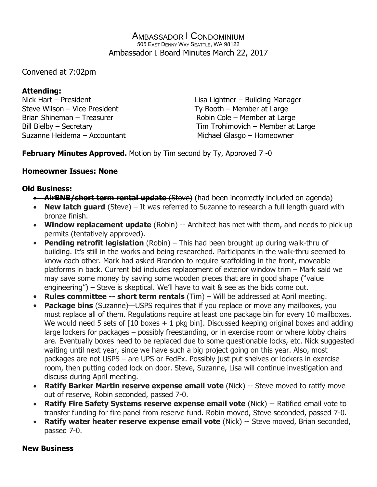#### AMBASSADOR I CONDOMINIUM 505 EAST DENNY WAY SEATTLE, WA 98122 Ambassador I Board Minutes March 22, 2017

Convened at 7:02pm

# **Attending:**

Nick Hart – President Lisa Lightner – Building Manager Steve Wilson – Vice President Ty Booth – Member at Large Brian Shineman – Treasurer Robin Cole – Member at Large Suzanne Heidema – Accountant Michael Glasgo – Homeowner

Bill Bielby – Secretary Tim Trohimovich – Member at Large

**February Minutes Approved.** Motion by Tim second by Ty, Approved 7 -0

# **Homeowner Issues: None**

## **Old Business:**

- **AirBNB/short term rental update** (Steve) (had been incorrectly included on agenda)
- **New latch guard** (Steve) It was referred to Suzanne to research a full length guard with bronze finish.
- **Window replacement update** (Robin) -- Architect has met with them, and needs to pick up permits (tentatively approved).
- **Pending retrofit legislation** (Robin) This had been brought up during walk-thru of building. It's still in the works and being researched. Participants in the walk-thru seemed to know each other. Mark had asked Brandon to require scaffolding in the front, moveable platforms in back. Current bid includes replacement of exterior window trim – Mark said we may save some money by saving some wooden pieces that are in good shape ("value engineering") – Steve is skeptical. We'll have to wait & see as the bids come out.
- **Rules committee -- short term rentals** (Tim) Will be addressed at April meeting.
- **Package bins** (Suzanne)—USPS requires that if you replace or move any mailboxes, you must replace all of them. Regulations require at least one package bin for every 10 mailboxes. We would need 5 sets of  $\lceil 10 \text{ boxes} + 1 \text{ pkq bin} \rceil$ . Discussed keeping original boxes and adding large lockers for packages – possibly freestanding, or in exercise room or where lobby chairs are. Eventually boxes need to be replaced due to some questionable locks, etc. Nick suggested waiting until next year, since we have such a big project going on this year. Also, most packages are not USPS – are UPS or FedEx. Possibly just put shelves or lockers in exercise room, then putting coded lock on door. Steve, Suzanne, Lisa will continue investigation and discuss during April meeting.
- **Ratify Barker Martin reserve expense email vote** (Nick) -- Steve moved to ratify move out of reserve, Robin seconded, passed 7-0.
- **Ratify Fire Safety Systems reserve expense email vote** (Nick) -- Ratified email vote to transfer funding for fire panel from reserve fund. Robin moved, Steve seconded, passed 7-0.
- **Ratify water heater reserve expense email vote** (Nick) -- Steve moved, Brian seconded, passed 7-0.

### **New Business**